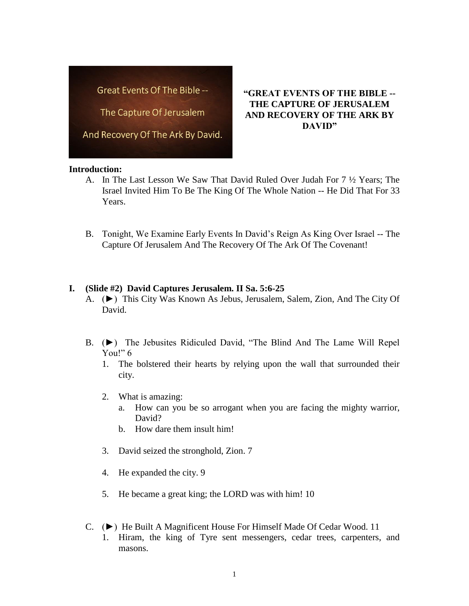Great Events Of The Bible --

The Capture Of Jerusalem

And Recovery Of The Ark By David.

# **"GREAT EVENTS OF THE BIBLE -- THE CAPTURE OF JERUSALEM AND RECOVERY OF THE ARK BY DAVID"**

#### **Introduction:**

- A. In The Last Lesson We Saw That David Ruled Over Judah For 7 ½ Years; The Israel Invited Him To Be The King Of The Whole Nation -- He Did That For 33 Years.
- B. Tonight, We Examine Early Events In David's Reign As King Over Israel -- The Capture Of Jerusalem And The Recovery Of The Ark Of The Covenant!

## **I. (Slide #2) David Captures Jerusalem. II Sa. 5:6-25**

- A. (►) This City Was Known As Jebus, Jerusalem, Salem, Zion, And The City Of David.
- B. (►) The Jebusites Ridiculed David, "The Blind And The Lame Will Repel You!" 6
	- 1. The bolstered their hearts by relying upon the wall that surrounded their city.
	- 2. What is amazing:
		- a. How can you be so arrogant when you are facing the mighty warrior, David?
		- b. How dare them insult him!
	- 3. David seized the stronghold, Zion. 7
	- 4. He expanded the city. 9
	- 5. He became a great king; the LORD was with him! 10
- C. (►) He Built A Magnificent House For Himself Made Of Cedar Wood. 11 1. Hiram, the king of Tyre sent messengers, cedar trees, carpenters, and masons.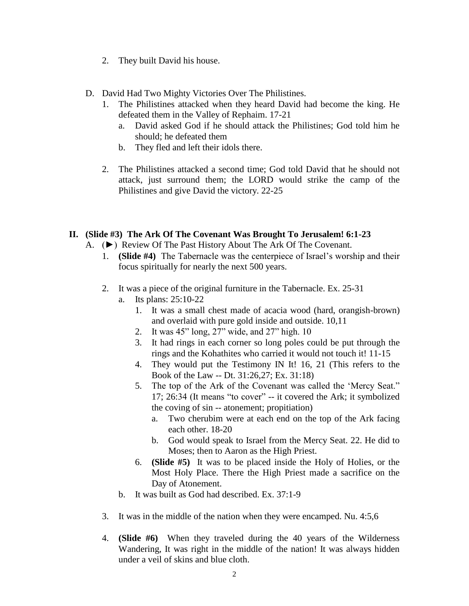- 2. They built David his house.
- D. David Had Two Mighty Victories Over The Philistines.
	- 1. The Philistines attacked when they heard David had become the king. He defeated them in the Valley of Rephaim. 17-21
		- a. David asked God if he should attack the Philistines; God told him he should; he defeated them
		- b. They fled and left their idols there.
	- 2. The Philistines attacked a second time; God told David that he should not attack, just surround them; the LORD would strike the camp of the Philistines and give David the victory. 22-25

# **II. (Slide #3) The Ark Of The Covenant Was Brought To Jerusalem! 6:1-23**

- A. (►) Review Of The Past History About The Ark Of The Covenant.
	- 1. **(Slide #4)** The Tabernacle was the centerpiece of Israel's worship and their focus spiritually for nearly the next 500 years.
	- 2. It was a piece of the original furniture in the Tabernacle. Ex. 25-31
		- a. Its plans: 25:10-22
			- 1. It was a small chest made of acacia wood (hard, orangish-brown) and overlaid with pure gold inside and outside. 10,11
			- 2. It was 45" long, 27" wide, and 27" high. 10
			- 3. It had rings in each corner so long poles could be put through the rings and the Kohathites who carried it would not touch it! 11-15
			- 4. They would put the Testimony IN It! 16, 21 (This refers to the Book of the Law -- Dt. 31:26,27; Ex. 31:18)
			- 5. The top of the Ark of the Covenant was called the 'Mercy Seat." 17; 26:34 (It means "to cover" -- it covered the Ark; it symbolized the coving of sin -- atonement; propitiation)
				- a. Two cherubim were at each end on the top of the Ark facing each other. 18-20
				- b. God would speak to Israel from the Mercy Seat. 22. He did to Moses; then to Aaron as the High Priest.
			- 6. **(Slide #5)** It was to be placed inside the Holy of Holies, or the Most Holy Place. There the High Priest made a sacrifice on the Day of Atonement.
		- b. It was built as God had described. Ex. 37:1-9
	- 3. It was in the middle of the nation when they were encamped. Nu. 4:5,6
	- 4. **(Slide #6)** When they traveled during the 40 years of the Wilderness Wandering, It was right in the middle of the nation! It was always hidden under a veil of skins and blue cloth.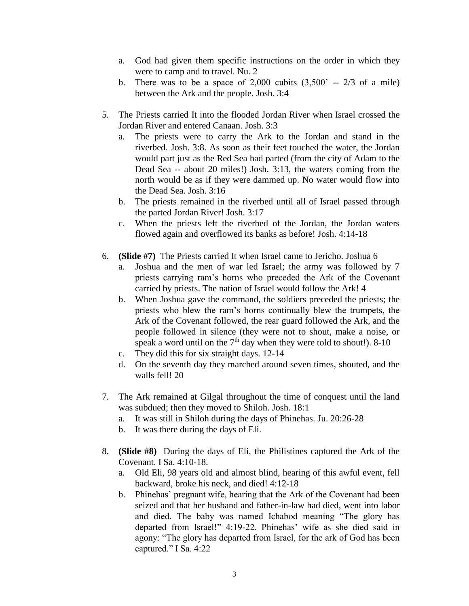- a. God had given them specific instructions on the order in which they were to camp and to travel. Nu. 2
- b. There was to be a space of  $2,000$  cubits  $(3,500)$  --  $2/3$  of a mile) between the Ark and the people. Josh. 3:4
- 5. The Priests carried It into the flooded Jordan River when Israel crossed the Jordan River and entered Canaan. Josh. 3:3
	- a. The priests were to carry the Ark to the Jordan and stand in the riverbed. Josh. 3:8. As soon as their feet touched the water, the Jordan would part just as the Red Sea had parted (from the city of Adam to the Dead Sea -- about 20 miles!) Josh. 3:13, the waters coming from the north would be as if they were dammed up. No water would flow into the Dead Sea. Josh. 3:16
	- b. The priests remained in the riverbed until all of Israel passed through the parted Jordan River! Josh. 3:17
	- c. When the priests left the riverbed of the Jordan, the Jordan waters flowed again and overflowed its banks as before! Josh. 4:14-18
- 6. **(Slide #7)** The Priests carried It when Israel came to Jericho. Joshua 6
	- a. Joshua and the men of war led Israel; the army was followed by 7 priests carrying ram's horns who preceded the Ark of the Covenant carried by priests. The nation of Israel would follow the Ark! 4
	- b. When Joshua gave the command, the soldiers preceded the priests; the priests who blew the ram's horns continually blew the trumpets, the Ark of the Covenant followed, the rear guard followed the Ark, and the people followed in silence (they were not to shout, make a noise, or speak a word until on the  $7<sup>th</sup>$  day when they were told to shout!). 8-10
	- c. They did this for six straight days. 12-14
	- d. On the seventh day they marched around seven times, shouted, and the walls fell! 20
- 7. The Ark remained at Gilgal throughout the time of conquest until the land was subdued; then they moved to Shiloh. Josh. 18:1
	- a. It was still in Shiloh during the days of Phinehas. Ju. 20:26-28
	- b. It was there during the days of Eli.
- 8. **(Slide #8)** During the days of Eli, the Philistines captured the Ark of the Covenant. I Sa. 4:10-18.
	- a. Old Eli, 98 years old and almost blind, hearing of this awful event, fell backward, broke his neck, and died! 4:12-18
	- b. Phinehas' pregnant wife, hearing that the Ark of the Covenant had been seized and that her husband and father-in-law had died, went into labor and died. The baby was named Ichabod meaning "The glory has departed from Israel!" 4:19-22. Phinehas' wife as she died said in agony: "The glory has departed from Israel, for the ark of God has been captured." I Sa. 4:22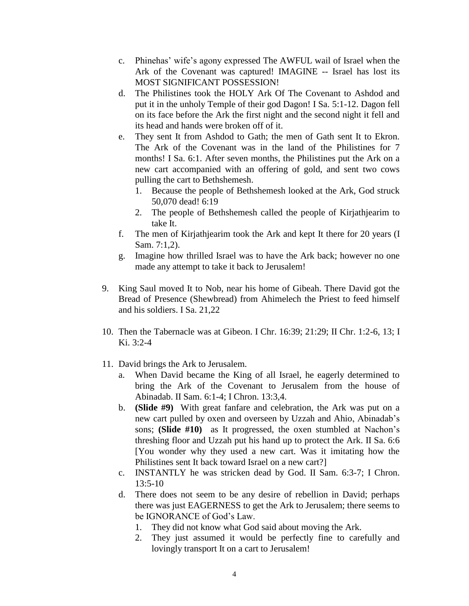- c. Phinehas' wife's agony expressed The AWFUL wail of Israel when the Ark of the Covenant was captured! IMAGINE -- Israel has lost its MOST SIGNIFICANT POSSESSION!
- d. The Philistines took the HOLY Ark Of The Covenant to Ashdod and put it in the unholy Temple of their god Dagon! I Sa. 5:1-12. Dagon fell on its face before the Ark the first night and the second night it fell and its head and hands were broken off of it.
- e. They sent It from Ashdod to Gath; the men of Gath sent It to Ekron. The Ark of the Covenant was in the land of the Philistines for 7 months! I Sa. 6:1. After seven months, the Philistines put the Ark on a new cart accompanied with an offering of gold, and sent two cows pulling the cart to Bethshemesh.
	- 1. Because the people of Bethshemesh looked at the Ark, God struck 50,070 dead! 6:19
	- 2. The people of Bethshemesh called the people of Kirjathjearim to take It.
- f. The men of Kirjathjearim took the Ark and kept It there for 20 years (I Sam. 7:1,2).
- g. Imagine how thrilled Israel was to have the Ark back; however no one made any attempt to take it back to Jerusalem!
- 9. King Saul moved It to Nob, near his home of Gibeah. There David got the Bread of Presence (Shewbread) from Ahimelech the Priest to feed himself and his soldiers. I Sa. 21,22
- 10. Then the Tabernacle was at Gibeon. I Chr. 16:39; 21:29; II Chr. 1:2-6, 13; I Ki. 3:2-4
- 11. David brings the Ark to Jerusalem.
	- a. When David became the King of all Israel, he eagerly determined to bring the Ark of the Covenant to Jerusalem from the house of Abinadab. II Sam. 6:1-4; I Chron. 13:3,4.
	- b. **(Slide #9)** With great fanfare and celebration, the Ark was put on a new cart pulled by oxen and overseen by Uzzah and Ahio, Abinadab's sons; **(Slide #10)** as It progressed, the oxen stumbled at Nachon's threshing floor and Uzzah put his hand up to protect the Ark. II Sa. 6:6 [You wonder why they used a new cart. Was it imitating how the Philistines sent It back toward Israel on a new cart?]
	- c. INSTANTLY he was stricken dead by God. II Sam. 6:3-7; I Chron. 13:5-10
	- d. There does not seem to be any desire of rebellion in David; perhaps there was just EAGERNESS to get the Ark to Jerusalem; there seems to be IGNORANCE of God's Law.
		- 1. They did not know what God said about moving the Ark.
		- 2. They just assumed it would be perfectly fine to carefully and lovingly transport It on a cart to Jerusalem!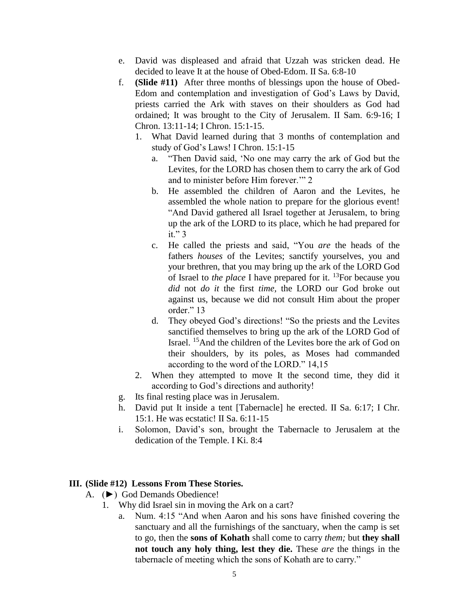- e. David was displeased and afraid that Uzzah was stricken dead. He decided to leave It at the house of Obed-Edom. II Sa. 6:8-10
- f. **(Slide #11)** After three months of blessings upon the house of Obed-Edom and contemplation and investigation of God's Laws by David, priests carried the Ark with staves on their shoulders as God had ordained; It was brought to the City of Jerusalem. II Sam. 6:9-16; I Chron. 13:11-14; I Chron. 15:1-15.
	- 1. What David learned during that 3 months of contemplation and study of God's Laws! I Chron. 15:1-15
		- a. "Then David said, 'No one may carry the ark of God but the Levites, for the LORD has chosen them to carry the ark of God and to minister before Him forever.'" 2
		- b. He assembled the children of Aaron and the Levites, he assembled the whole nation to prepare for the glorious event! "And David gathered all Israel together at Jerusalem, to bring up the ark of the LORD to its place, which he had prepared for it." 3
		- c. He called the priests and said, "You *are* the heads of the fathers *houses* of the Levites; sanctify yourselves, you and your brethren, that you may bring up the ark of the LORD God of Israel to *the place* I have prepared for it. <sup>13</sup>For because you *did* not *do it* the first *time,* the LORD our God broke out against us, because we did not consult Him about the proper order." 13
		- d. They obeyed God's directions! "So the priests and the Levites sanctified themselves to bring up the ark of the LORD God of Israel. <sup>15</sup>And the children of the Levites bore the ark of God on their shoulders, by its poles, as Moses had commanded according to the word of the LORD." 14,15
	- 2. When they attempted to move It the second time, they did it according to God's directions and authority!
- g. Its final resting place was in Jerusalem.
- h. David put It inside a tent [Tabernacle] he erected. II Sa. 6:17; I Chr. 15:1. He was ecstatic! II Sa. 6:11-15
- i. Solomon, David's son, brought the Tabernacle to Jerusalem at the dedication of the Temple. I Ki. 8:4

### **III. (Slide #12) Lessons From These Stories.**

- A. (►) God Demands Obedience!
	- 1. Why did Israel sin in moving the Ark on a cart?
		- a. Num. 4:15 "And when Aaron and his sons have finished covering the sanctuary and all the furnishings of the sanctuary, when the camp is set to go, then the **sons of Kohath** shall come to carry *them;* but **they shall not touch any holy thing, lest they die.** These *are* the things in the tabernacle of meeting which the sons of Kohath are to carry."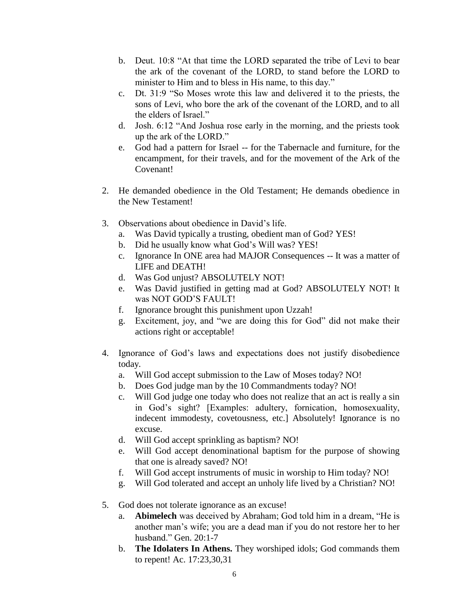- b. Deut. 10:8 "At that time the LORD separated the tribe of Levi to bear the ark of the covenant of the LORD, to stand before the LORD to minister to Him and to bless in His name, to this day."
- c. Dt. 31:9 "So Moses wrote this law and delivered it to the priests, the sons of Levi, who bore the ark of the covenant of the LORD, and to all the elders of Israel."
- d. Josh. 6:12 "And Joshua rose early in the morning, and the priests took up the ark of the LORD."
- e. God had a pattern for Israel -- for the Tabernacle and furniture, for the encampment, for their travels, and for the movement of the Ark of the Covenant!
- 2. He demanded obedience in the Old Testament; He demands obedience in the New Testament!
- 3. Observations about obedience in David's life.
	- a. Was David typically a trusting, obedient man of God? YES!
	- b. Did he usually know what God's Will was? YES!
	- c. Ignorance In ONE area had MAJOR Consequences -- It was a matter of LIFE and DEATH!
	- d. Was God unjust? ABSOLUTELY NOT!
	- e. Was David justified in getting mad at God? ABSOLUTELY NOT! It was NOT GOD'S FAULT!
	- f. Ignorance brought this punishment upon Uzzah!
	- g. Excitement, joy, and "we are doing this for God" did not make their actions right or acceptable!
- 4. Ignorance of God's laws and expectations does not justify disobedience today.
	- a. Will God accept submission to the Law of Moses today? NO!
	- b. Does God judge man by the 10 Commandments today? NO!
	- c. Will God judge one today who does not realize that an act is really a sin in God's sight? [Examples: adultery, fornication, homosexuality, indecent immodesty, covetousness, etc.] Absolutely! Ignorance is no excuse.
	- d. Will God accept sprinkling as baptism? NO!
	- e. Will God accept denominational baptism for the purpose of showing that one is already saved? NO!
	- f. Will God accept instruments of music in worship to Him today? NO!
	- g. Will God tolerated and accept an unholy life lived by a Christian? NO!
- 5. God does not tolerate ignorance as an excuse!
	- a. **Abimelech** was deceived by Abraham; God told him in a dream, "He is another man's wife; you are a dead man if you do not restore her to her husband." Gen. 20:1-7
	- b. **The Idolaters In Athens.** They worshiped idols; God commands them to repent! Ac. 17:23,30,31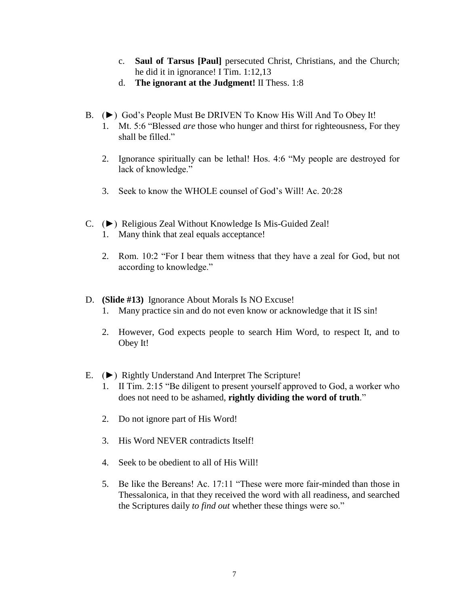- c. **Saul of Tarsus [Paul]** persecuted Christ, Christians, and the Church; he did it in ignorance! I Tim. 1:12,13
- d. **The ignorant at the Judgment!** II Thess. 1:8
- B. (►) God's People Must Be DRIVEN To Know His Will And To Obey It!
	- 1. Mt. 5:6 "Blessed *are* those who hunger and thirst for righteousness, For they shall be filled."
	- 2. Ignorance spiritually can be lethal! Hos. 4:6 "My people are destroyed for lack of knowledge."
	- 3. Seek to know the WHOLE counsel of God's Will! Ac. 20:28
- C. (►) Religious Zeal Without Knowledge Is Mis-Guided Zeal!
	- 1. Many think that zeal equals acceptance!
	- 2. Rom. 10:2 "For I bear them witness that they have a zeal for God, but not according to knowledge."
- D. **(Slide #13)** Ignorance About Morals Is NO Excuse!
	- 1. Many practice sin and do not even know or acknowledge that it IS sin!
	- 2. However, God expects people to search Him Word, to respect It, and to Obey It!
- E. (►) Rightly Understand And Interpret The Scripture!
	- 1. II Tim. 2:15 "Be diligent to present yourself approved to God, a worker who does not need to be ashamed, **rightly dividing the word of truth**."
	- 2. Do not ignore part of His Word!
	- 3. His Word NEVER contradicts Itself!
	- 4. Seek to be obedient to all of His Will!
	- 5. Be like the Bereans! Ac. 17:11 "These were more fair-minded than those in Thessalonica, in that they received the word with all readiness, and searched the Scriptures daily *to find out* whether these things were so."